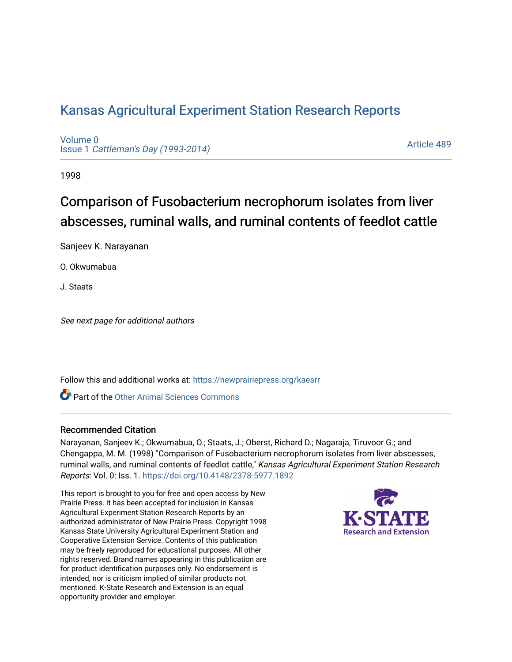## [Kansas Agricultural Experiment Station Research Reports](https://newprairiepress.org/kaesrr)

[Volume 0](https://newprairiepress.org/kaesrr/vol0) Issue 1 [Cattleman's Day \(1993-2014\)](https://newprairiepress.org/kaesrr/vol0/iss1) 

[Article 489](https://newprairiepress.org/kaesrr/vol0/iss1/489) 

1998

# Comparison of Fusobacterium necrophorum isolates from liver abscesses, ruminal walls, and ruminal contents of feedlot cattle

Sanjeev K. Narayanan

O. Okwumabua

J. Staats

See next page for additional authors

Follow this and additional works at: [https://newprairiepress.org/kaesrr](https://newprairiepress.org/kaesrr?utm_source=newprairiepress.org%2Fkaesrr%2Fvol0%2Fiss1%2F489&utm_medium=PDF&utm_campaign=PDFCoverPages) 

Part of the [Other Animal Sciences Commons](http://network.bepress.com/hgg/discipline/82?utm_source=newprairiepress.org%2Fkaesrr%2Fvol0%2Fiss1%2F489&utm_medium=PDF&utm_campaign=PDFCoverPages)

#### Recommended Citation

Narayanan, Sanjeev K.; Okwumabua, O.; Staats, J.; Oberst, Richard D.; Nagaraja, Tiruvoor G.; and Chengappa, M. M. (1998) "Comparison of Fusobacterium necrophorum isolates from liver abscesses, ruminal walls, and ruminal contents of feedlot cattle," Kansas Agricultural Experiment Station Research Reports: Vol. 0: Iss. 1.<https://doi.org/10.4148/2378-5977.1892>

This report is brought to you for free and open access by New Prairie Press. It has been accepted for inclusion in Kansas Agricultural Experiment Station Research Reports by an authorized administrator of New Prairie Press. Copyright 1998 Kansas State University Agricultural Experiment Station and Cooperative Extension Service. Contents of this publication may be freely reproduced for educational purposes. All other rights reserved. Brand names appearing in this publication are for product identification purposes only. No endorsement is intended, nor is criticism implied of similar products not mentioned. K-State Research and Extension is an equal opportunity provider and employer.

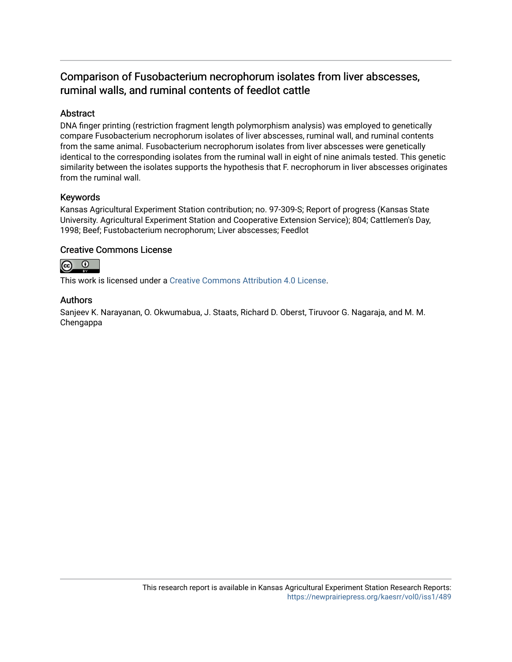### Comparison of Fusobacterium necrophorum isolates from liver abscesses, ruminal walls, and ruminal contents of feedlot cattle

#### Abstract

DNA finger printing (restriction fragment length polymorphism analysis) was employed to genetically compare Fusobacterium necrophorum isolates of liver abscesses, ruminal wall, and ruminal contents from the same animal. Fusobacterium necrophorum isolates from liver abscesses were genetically identical to the corresponding isolates from the ruminal wall in eight of nine animals tested. This genetic similarity between the isolates supports the hypothesis that F. necrophorum in liver abscesses originates from the ruminal wall.

#### Keywords

Kansas Agricultural Experiment Station contribution; no. 97-309-S; Report of progress (Kansas State University. Agricultural Experiment Station and Cooperative Extension Service); 804; Cattlemen's Day, 1998; Beef; Fustobacterium necrophorum; Liver abscesses; Feedlot

#### Creative Commons License



This work is licensed under a [Creative Commons Attribution 4.0 License](https://creativecommons.org/licenses/by/4.0/).

#### Authors

Sanjeev K. Narayanan, O. Okwumabua, J. Staats, Richard D. Oberst, Tiruvoor G. Nagaraja, and M. M. Chengappa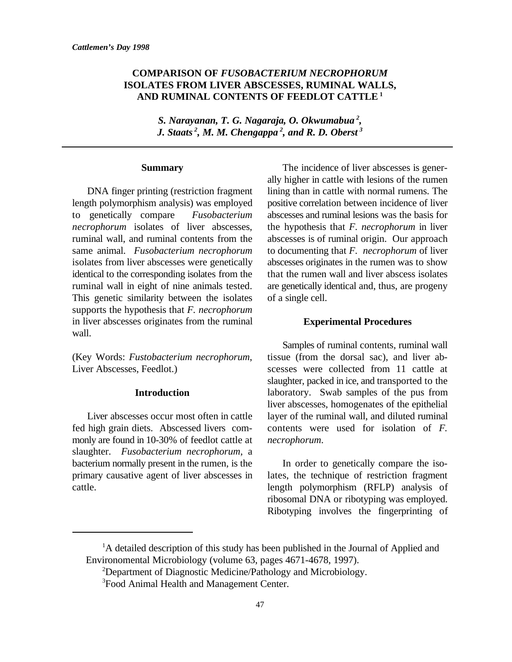#### **COMPARISON OF** *FUSOBACTERIUM NECROPHORUM* **ISOLATES FROM LIVER ABSCESSES, RUMINAL WALLS, AND RUMINAL CONTENTS OF FEEDLOT CATTLE <sup>1</sup>**

*S. Narayanan, T. G. Nagaraja, O. Okwumabua , 2 J. Staats*<sup>2</sup>, *M. M. Chengappa*<sup>2</sup>, *and R. D. Oberst*<sup>3</sup>

#### **Summary**

length polymorphism analysis) was employed positive correlation between incidence of liver to genetically compare *Fusobacterium* abscesses and ruminal lesions was the basis for *necrophorum* isolates of liver abscesses, the hypothesis that *F. necrophorum* in liver ruminal wall, and ruminal contents from the abscesses is of ruminal origin. Our approach same animal. *Fusobacterium necrophorum* to documenting that *F. necrophorum* of liver isolates from liver abscesses were genetically abscesses originates in the rumen was to show identical to the corresponding isolates from the that the rumen wall and liver abscess isolates ruminal wall in eight of nine animals tested. are genetically identical and, thus, are progeny This genetic similarity between the isolates of a single cell. supports the hypothesis that *F. necrophorum* in liver abscesses originates from the ruminal wall.

Liver Abscesses, Feedlot.) scesses were collected from 11 cattle at

#### **Introduction**

fed high grain diets. Abscessed livers com- contents were used for isolation of *F.* monly are found in 10-30% of feedlot cattle at *necrophorum*. slaughter. *Fusobacterium necrophorum*, a bacterium normally present in the rumen, is the In order to genetically compare the iso-

DNA finger printing (restriction fragment lining than in cattle with normal rumens. The The incidence of liver abscesses is generally higher in cattle with lesions of the rumen

#### **Experimental Procedures**

(Key Words: *Fustobacterium necrophorum*, tissue (from the dorsal sac), and liver ab-Liver abscesses occur most often in cattle layer of the ruminal wall, and diluted ruminal Samples of ruminal contents, ruminal wall slaughter, packed in ice, and transported to the laboratory. Swab samples of the pus from liver abscesses, homogenates of the epithelial

primary causative agent of liver abscesses in lates, the technique of restriction fragment cattle. length polymorphism (RFLP) analysis of ribosomal DNA or ribotyping was employed. Ribotyping involves the fingerprinting of

 ${}^{1}$ A detailed description of this study has been published in the Journal of Applied and Environomental Microbiology (volume 63, pages 4671-4678, 1997).

 $2$ Department of Diagnostic Medicine/Pathology and Microbiology.

<sup>&</sup>lt;sup>3</sup> Food Animal Health and Management Center.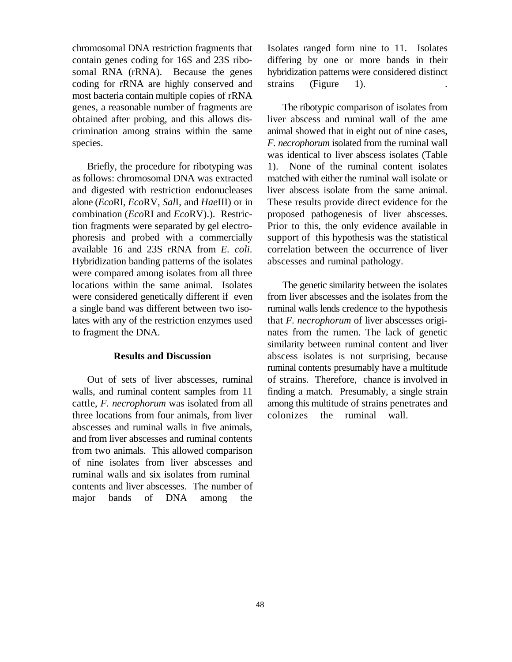contain genes coding for 16S and 23S ribo- differing by one or more bands in their somal RNA (rRNA). Because the genes hybridization patterns were considered distinct coding for rRNA are highly conserved and strains (Figure 1). most bacteria contain multiple copies of rRNA genes, a reasonable number of fragments are The ribotypic comparison of isolates from obtained after probing, and this allows dis- liver abscess and ruminal wall of the ame crimination among strains within the same animal showed that in eight out of nine cases, species. **F.** *necrophorum* isolated from the ruminal wall

as follows: chromosomal DNA was extracted matched with either the ruminal wall isolate or and digested with restriction endonucleases liver abscess isolate from the same animal. alone (*Eco*RI, *Eco*RV, *Sal*I, and *Hae*III) or in These results provide direct evidence for the combination (*Eco*RI and *Eco*RV).). Restric- proposed pathogenesis of liver abscesses. tion fragments were separated by gel electro- Prior to this, the only evidence available in phoresis and probed with a commercially support of this hypothesis was the statistical available 16 and 23S rRNA from *E. coli*. correlation between the occurrence of liver Hybridization banding patterns of the isolates abscesses and ruminal pathology. were compared among isolates from all three locations within the same animal. Isolates The genetic similarity between the isolates were considered genetically different if even from liver abscesses and the isolates from the a single band was different between two iso- ruminal walls lends credence to the hypothesis lates with any of the restriction enzymes used that *F. necrophorum* of liver abscesses origito fragment the DNA. nates from the rumen. The lack of genetic

#### **Results and Discussion**

walls, and ruminal content samples from 11 finding a match. Presumably, a single strain cattle, *F. necrophorum* was isolated from all among this multitude of strains penetrates and three locations from four animals, from liver colonizes the ruminal wall. abscesses and ruminal walls in five animals, and from liver abscesses and ruminal contents from two animals. This allowed comparison of nine isolates from liver abscesses and ruminal walls and six isolates from ruminal contents and liver abscesses. The number of major bands of DNA among the

chromosomal DNA restriction fragments that Isolates ranged form nine to 11. Isolates

Briefly, the procedure for ribotyping was 1). None of the ruminal content isolates was identical to liver abscess isolates (Table

Out of sets of liver abscesses, ruminal of strains. Therefore, chance is involved in similarity between ruminal content and liver abscess isolates is not surprising, because ruminal contents presumably have a multitude